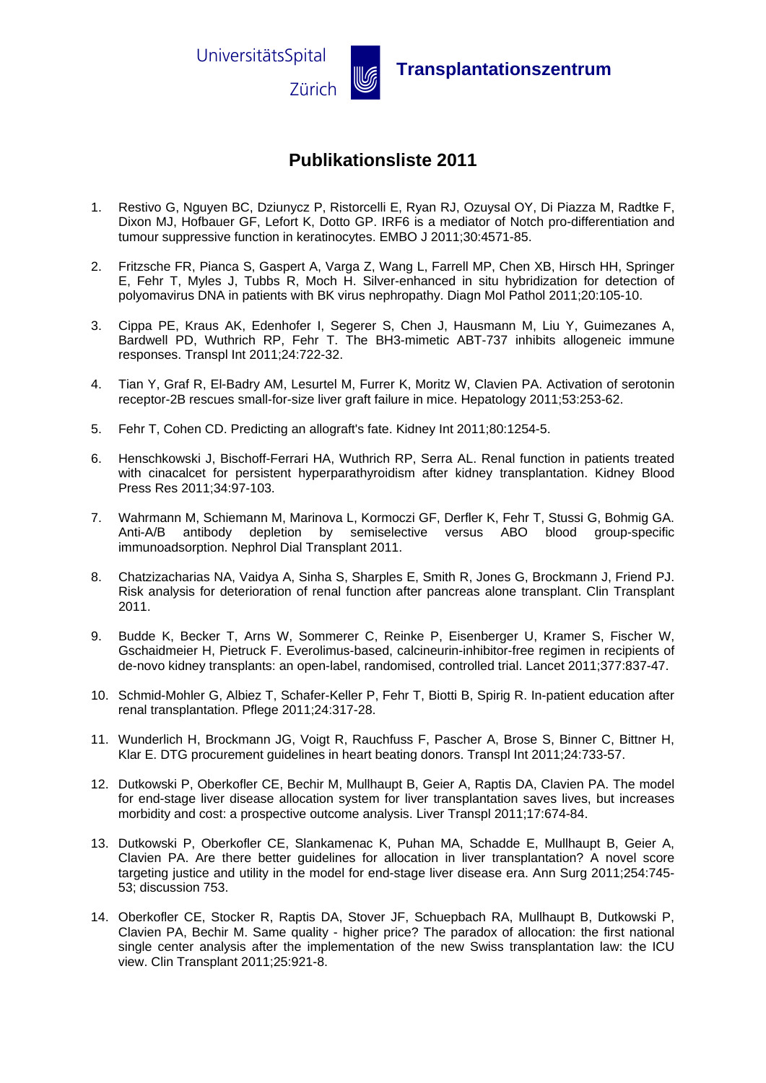

## **Publikationsliste 2011**

- 1. Restivo G, Nguyen BC, Dziunycz P, Ristorcelli E, Ryan RJ, Ozuysal OY, Di Piazza M, Radtke F, Dixon MJ, Hofbauer GF, Lefort K, Dotto GP. IRF6 is a mediator of Notch pro-differentiation and tumour suppressive function in keratinocytes. EMBO J 2011;30:4571-85.
- 2. Fritzsche FR, Pianca S, Gaspert A, Varga Z, Wang L, Farrell MP, Chen XB, Hirsch HH, Springer E, Fehr T, Myles J, Tubbs R, Moch H. Silver-enhanced in situ hybridization for detection of polyomavirus DNA in patients with BK virus nephropathy. Diagn Mol Pathol 2011;20:105-10.
- 3. Cippa PE, Kraus AK, Edenhofer I, Segerer S, Chen J, Hausmann M, Liu Y, Guimezanes A, Bardwell PD, Wuthrich RP, Fehr T. The BH3-mimetic ABT-737 inhibits allogeneic immune responses. Transpl Int 2011;24:722-32.
- 4. Tian Y, Graf R, El-Badry AM, Lesurtel M, Furrer K, Moritz W, Clavien PA. Activation of serotonin receptor-2B rescues small-for-size liver graft failure in mice. Hepatology 2011;53:253-62.
- 5. Fehr T, Cohen CD. Predicting an allograft's fate. Kidney Int 2011;80:1254-5.
- 6. Henschkowski J, Bischoff-Ferrari HA, Wuthrich RP, Serra AL. Renal function in patients treated with cinacalcet for persistent hyperparathyroidism after kidney transplantation. Kidney Blood Press Res 2011;34:97-103.
- 7. Wahrmann M, Schiemann M, Marinova L, Kormoczi GF, Derfler K, Fehr T, Stussi G, Bohmig GA. Anti-A/B antibody depletion by semiselective versus ABO blood group-specific immunoadsorption. Nephrol Dial Transplant 2011.
- 8. Chatzizacharias NA, Vaidya A, Sinha S, Sharples E, Smith R, Jones G, Brockmann J, Friend PJ. Risk analysis for deterioration of renal function after pancreas alone transplant. Clin Transplant 2011.
- 9. Budde K, Becker T, Arns W, Sommerer C, Reinke P, Eisenberger U, Kramer S, Fischer W, Gschaidmeier H, Pietruck F. Everolimus-based, calcineurin-inhibitor-free regimen in recipients of de-novo kidney transplants: an open-label, randomised, controlled trial. Lancet 2011;377:837-47.
- 10. Schmid-Mohler G, Albiez T, Schafer-Keller P, Fehr T, Biotti B, Spirig R. In-patient education after renal transplantation. Pflege 2011;24:317-28.
- 11. Wunderlich H, Brockmann JG, Voigt R, Rauchfuss F, Pascher A, Brose S, Binner C, Bittner H, Klar E. DTG procurement guidelines in heart beating donors. Transpl Int 2011;24:733-57.
- 12. Dutkowski P, Oberkofler CE, Bechir M, Mullhaupt B, Geier A, Raptis DA, Clavien PA. The model for end-stage liver disease allocation system for liver transplantation saves lives, but increases morbidity and cost: a prospective outcome analysis. Liver Transpl 2011;17:674-84.
- 13. Dutkowski P, Oberkofler CE, Slankamenac K, Puhan MA, Schadde E, Mullhaupt B, Geier A, Clavien PA. Are there better guidelines for allocation in liver transplantation? A novel score targeting justice and utility in the model for end-stage liver disease era. Ann Surg 2011;254:745- 53; discussion 753.
- 14. Oberkofler CE, Stocker R, Raptis DA, Stover JF, Schuepbach RA, Mullhaupt B, Dutkowski P, Clavien PA, Bechir M. Same quality - higher price? The paradox of allocation: the first national single center analysis after the implementation of the new Swiss transplantation law: the ICU view. Clin Transplant 2011;25:921-8.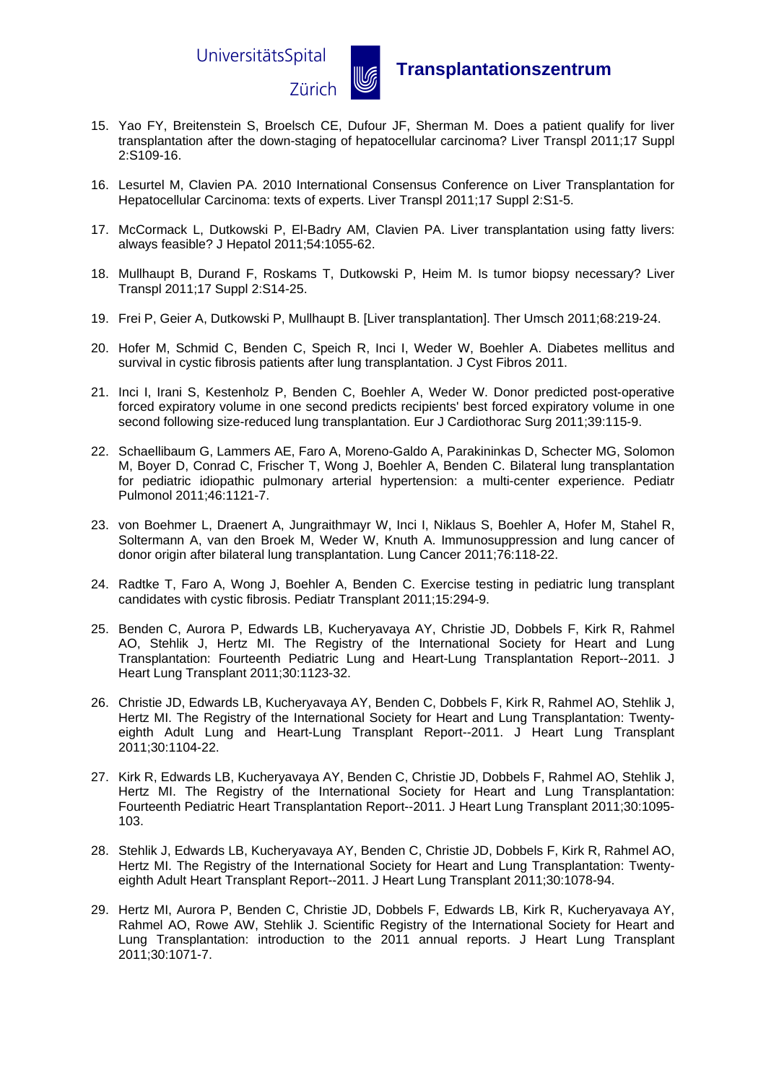UniversitätsSpital



## Zürich u **Transplantationszentrum**

- 15. Yao FY, Breitenstein S, Broelsch CE, Dufour JF, Sherman M. Does a patient qualify for liver transplantation after the down-staging of hepatocellular carcinoma? Liver Transpl 2011;17 Suppl 2:S109-16.
- 16. Lesurtel M, Clavien PA. 2010 International Consensus Conference on Liver Transplantation for Hepatocellular Carcinoma: texts of experts. Liver Transpl 2011;17 Suppl 2:S1-5.
- 17. McCormack L, Dutkowski P, El-Badry AM, Clavien PA. Liver transplantation using fatty livers: always feasible? J Hepatol 2011;54:1055-62.
- 18. Mullhaupt B, Durand F, Roskams T, Dutkowski P, Heim M. Is tumor biopsy necessary? Liver Transpl 2011;17 Suppl 2:S14-25.
- 19. Frei P, Geier A, Dutkowski P, Mullhaupt B. [Liver transplantation]. Ther Umsch 2011;68:219-24.
- 20. Hofer M, Schmid C, Benden C, Speich R, Inci I, Weder W, Boehler A. Diabetes mellitus and survival in cystic fibrosis patients after lung transplantation. J Cyst Fibros 2011.
- 21. Inci I, Irani S, Kestenholz P, Benden C, Boehler A, Weder W. Donor predicted post-operative forced expiratory volume in one second predicts recipients' best forced expiratory volume in one second following size-reduced lung transplantation. Eur J Cardiothorac Surg 2011;39:115-9.
- 22. Schaellibaum G, Lammers AE, Faro A, Moreno-Galdo A, Parakininkas D, Schecter MG, Solomon M, Boyer D, Conrad C, Frischer T, Wong J, Boehler A, Benden C. Bilateral lung transplantation for pediatric idiopathic pulmonary arterial hypertension: a multi-center experience. Pediatr Pulmonol 2011;46:1121-7.
- 23. von Boehmer L, Draenert A, Jungraithmayr W, Inci I, Niklaus S, Boehler A, Hofer M, Stahel R, Soltermann A, van den Broek M, Weder W, Knuth A. Immunosuppression and lung cancer of donor origin after bilateral lung transplantation. Lung Cancer 2011;76:118-22.
- 24. Radtke T, Faro A, Wong J, Boehler A, Benden C. Exercise testing in pediatric lung transplant candidates with cystic fibrosis. Pediatr Transplant 2011;15:294-9.
- 25. Benden C, Aurora P, Edwards LB, Kucheryavaya AY, Christie JD, Dobbels F, Kirk R, Rahmel AO, Stehlik J, Hertz MI. The Registry of the International Society for Heart and Lung Transplantation: Fourteenth Pediatric Lung and Heart-Lung Transplantation Report--2011. J Heart Lung Transplant 2011;30:1123-32.
- 26. Christie JD, Edwards LB, Kucheryavaya AY, Benden C, Dobbels F, Kirk R, Rahmel AO, Stehlik J, Hertz MI. The Registry of the International Society for Heart and Lung Transplantation: Twentyeighth Adult Lung and Heart-Lung Transplant Report--2011. J Heart Lung Transplant 2011;30:1104-22.
- 27. Kirk R, Edwards LB, Kucheryavaya AY, Benden C, Christie JD, Dobbels F, Rahmel AO, Stehlik J, Hertz MI. The Registry of the International Society for Heart and Lung Transplantation: Fourteenth Pediatric Heart Transplantation Report--2011. J Heart Lung Transplant 2011;30:1095- 103.
- 28. Stehlik J, Edwards LB, Kucheryavaya AY, Benden C, Christie JD, Dobbels F, Kirk R, Rahmel AO, Hertz MI. The Registry of the International Society for Heart and Lung Transplantation: Twentyeighth Adult Heart Transplant Report--2011. J Heart Lung Transplant 2011;30:1078-94.
- 29. Hertz MI, Aurora P, Benden C, Christie JD, Dobbels F, Edwards LB, Kirk R, Kucheryavaya AY, Rahmel AO, Rowe AW, Stehlik J. Scientific Registry of the International Society for Heart and Lung Transplantation: introduction to the 2011 annual reports. J Heart Lung Transplant 2011;30:1071-7.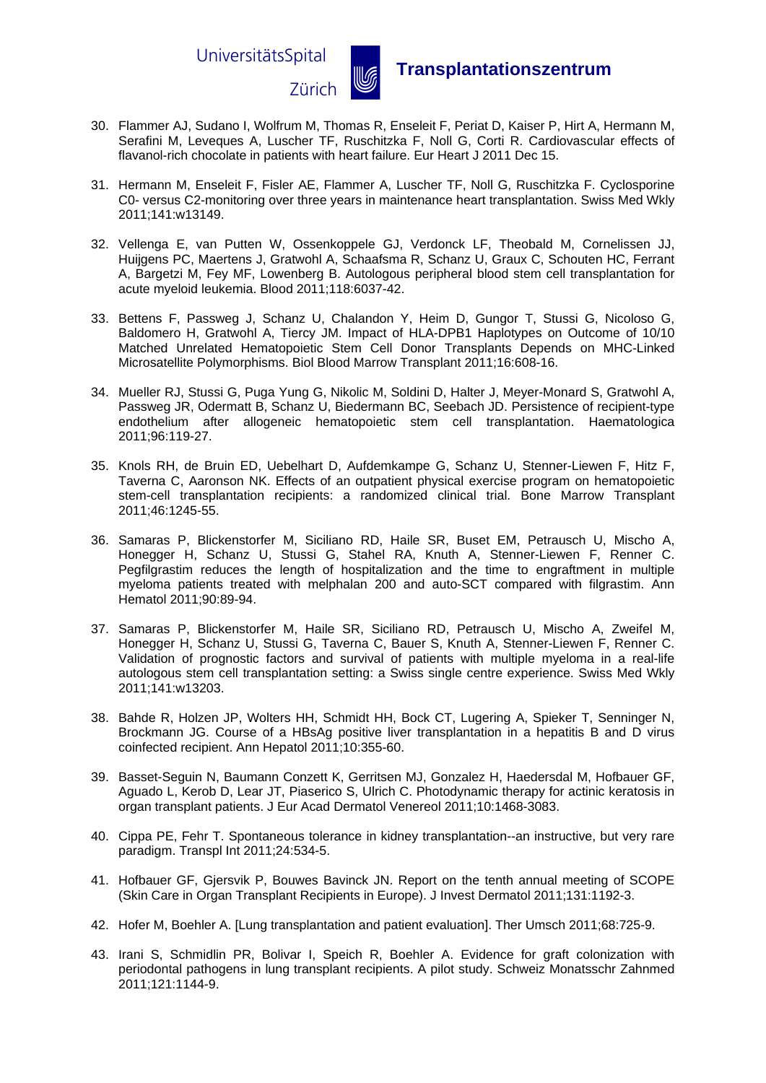UniversitätsSpital



**Zürich WE** Transplantationszentrum

- 30. Flammer AJ, Sudano I, Wolfrum M, Thomas R, Enseleit F, Periat D, Kaiser P, Hirt A, Hermann M, Serafini M, Leveques A, Luscher TF, Ruschitzka F, Noll G, Corti R. Cardiovascular effects of flavanol-rich chocolate in patients with heart failure. Eur Heart J 2011 Dec 15.
- 31. Hermann M, Enseleit F, Fisler AE, Flammer A, Luscher TF, Noll G, Ruschitzka F. Cyclosporine C0- versus C2-monitoring over three years in maintenance heart transplantation. Swiss Med Wkly 2011;141:w13149.
- 32. Vellenga E, van Putten W, Ossenkoppele GJ, Verdonck LF, Theobald M, Cornelissen JJ, Huijgens PC, Maertens J, Gratwohl A, Schaafsma R, Schanz U, Graux C, Schouten HC, Ferrant A, Bargetzi M, Fey MF, Lowenberg B. Autologous peripheral blood stem cell transplantation for acute myeloid leukemia. Blood 2011;118:6037-42.
- 33. Bettens F, Passweg J, Schanz U, Chalandon Y, Heim D, Gungor T, Stussi G, Nicoloso G, Baldomero H, Gratwohl A, Tiercy JM. Impact of HLA-DPB1 Haplotypes on Outcome of 10/10 Matched Unrelated Hematopoietic Stem Cell Donor Transplants Depends on MHC-Linked Microsatellite Polymorphisms. Biol Blood Marrow Transplant 2011;16:608-16.
- 34. Mueller RJ, Stussi G, Puga Yung G, Nikolic M, Soldini D, Halter J, Meyer-Monard S, Gratwohl A, Passweg JR, Odermatt B, Schanz U, Biedermann BC, Seebach JD. Persistence of recipient-type endothelium after allogeneic hematopoietic stem cell transplantation. Haematologica 2011;96:119-27.
- 35. Knols RH, de Bruin ED, Uebelhart D, Aufdemkampe G, Schanz U, Stenner-Liewen F, Hitz F, Taverna C, Aaronson NK. Effects of an outpatient physical exercise program on hematopoietic stem-cell transplantation recipients: a randomized clinical trial. Bone Marrow Transplant 2011;46:1245-55.
- 36. Samaras P, Blickenstorfer M, Siciliano RD, Haile SR, Buset EM, Petrausch U, Mischo A, Honegger H, Schanz U, Stussi G, Stahel RA, Knuth A, Stenner-Liewen F, Renner C. Pegfilgrastim reduces the length of hospitalization and the time to engraftment in multiple myeloma patients treated with melphalan 200 and auto-SCT compared with filgrastim. Ann Hematol 2011;90:89-94.
- 37. Samaras P, Blickenstorfer M, Haile SR, Siciliano RD, Petrausch U, Mischo A, Zweifel M, Honegger H, Schanz U, Stussi G, Taverna C, Bauer S, Knuth A, Stenner-Liewen F, Renner C. Validation of prognostic factors and survival of patients with multiple myeloma in a real-life autologous stem cell transplantation setting: a Swiss single centre experience. Swiss Med Wkly 2011;141:w13203.
- 38. Bahde R, Holzen JP, Wolters HH, Schmidt HH, Bock CT, Lugering A, Spieker T, Senninger N, Brockmann JG. Course of a HBsAg positive liver transplantation in a hepatitis B and D virus coinfected recipient. Ann Hepatol 2011;10:355-60.
- 39. Basset-Seguin N, Baumann Conzett K, Gerritsen MJ, Gonzalez H, Haedersdal M, Hofbauer GF, Aguado L, Kerob D, Lear JT, Piaserico S, Ulrich C. Photodynamic therapy for actinic keratosis in organ transplant patients. J Eur Acad Dermatol Venereol 2011;10:1468-3083.
- 40. Cippa PE, Fehr T. Spontaneous tolerance in kidney transplantation--an instructive, but very rare paradigm. Transpl Int 2011;24:534-5.
- 41. Hofbauer GF, Gjersvik P, Bouwes Bavinck JN. Report on the tenth annual meeting of SCOPE (Skin Care in Organ Transplant Recipients in Europe). J Invest Dermatol 2011;131:1192-3.
- 42. Hofer M, Boehler A. [Lung transplantation and patient evaluation]. Ther Umsch 2011;68:725-9.
- 43. Irani S, Schmidlin PR, Bolivar I, Speich R, Boehler A. Evidence for graft colonization with periodontal pathogens in lung transplant recipients. A pilot study. Schweiz Monatsschr Zahnmed 2011;121:1144-9.